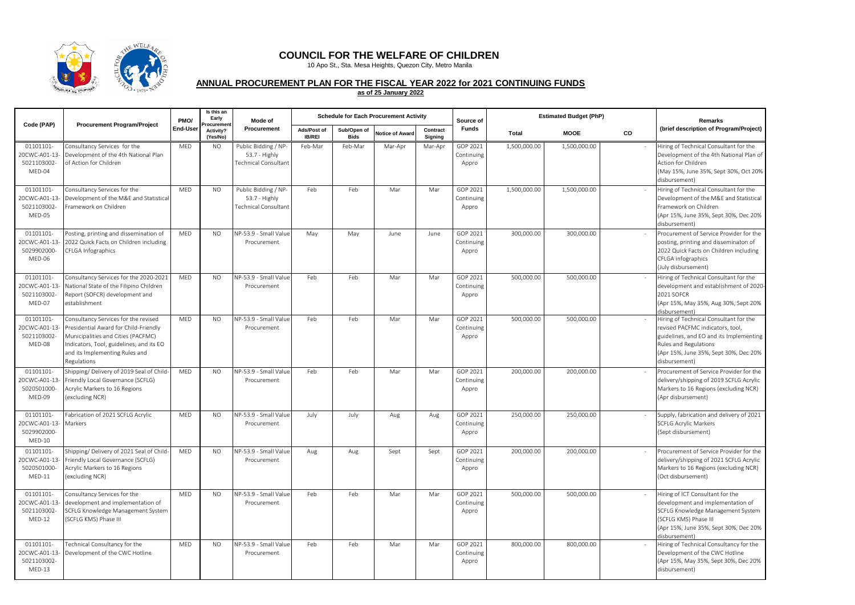

## **COUNCIL FOR THE WELFARE OF CHILDREN**

10 Apo St., Sta. Mesa Heights, Quezon City, Metro Manila

## **ANNUAL PROCUREMENT PLAN FOR THE FISCAL YEAR 2022 for 2021 CONTINUING FUNDS**

**as of 25 January 2022**

|                                                      | Code (PAP)<br><b>Procurement Program/Project</b>                                                                                                                                                                 |            | Is this an<br>Early<br>PMO/<br>rocurement | Mode of                                                       |                       |                     | <b>Schedule for Each Procurement Activity</b> |                     | Source of                       |              | <b>Estimated Budget (PhP)</b> | Remarks |                                                                                                                                                                                                          |
|------------------------------------------------------|------------------------------------------------------------------------------------------------------------------------------------------------------------------------------------------------------------------|------------|-------------------------------------------|---------------------------------------------------------------|-----------------------|---------------------|-----------------------------------------------|---------------------|---------------------------------|--------------|-------------------------------|---------|----------------------------------------------------------------------------------------------------------------------------------------------------------------------------------------------------------|
|                                                      |                                                                                                                                                                                                                  | End-User   | Activity?<br>(Yes/No)                     | Procurement                                                   | Ads/Post of<br>IB/REI | Sub/Open of<br>Bids | <b>Notice of Award</b>                        | Contract<br>Signing | Funds                           | Total        | <b>MOOE</b>                   | CO      | (brief description of Program/Project)                                                                                                                                                                   |
| 01101101-<br>20CWC-A01-13<br>5021103002-<br>MED-04   | Consultancy Services for the<br>Development of the 4th National Plan<br>of Action for Children                                                                                                                   | MED        | <b>NO</b>                                 | Public Bidding / NP-<br>53.7 - Highly<br>Technical Consultant | Feb-Mar               | Feb-Mar             | Mar-Apr                                       | Mar-Apr             | GOP 2021<br>Continuing<br>Appro | 1,500,000.00 | 1,500,000.00                  |         | Hiring of Technical Consultant for the<br>Development of the 4th National Plan of<br>Action for Children<br>(May 15%, June 35%, Sept 30%, Oct 20%<br>disbursement)                                       |
| 01101101-<br>20CWC-A01-13<br>5021103002<br>MED-05    | Consultancy Services for the<br>Development of the M&E and Statistica<br>Framework on Children                                                                                                                   | MED        | <b>NO</b>                                 | Public Bidding / NP-<br>53.7 - Highly<br>Technical Consultant | Feb                   | Feb                 | Mar                                           | Mar                 | GOP 2021<br>Continuing<br>Appro | 1,500,000.00 | 1,500,000.00                  |         | Hiring of Technical Consultant for the<br>Development of the M&E and Statistical<br>Framework on Children<br>(Apr 15%, June 35%, Sept 30%, Dec 20%<br>disbursement)                                      |
| 01101101-<br>20CWC-A01-13<br>5029902000-<br>MED-06   | Posting, printing and dissemination of<br>2022 Quick Facts on Children including<br>CFLGA Infographics                                                                                                           | <b>MED</b> | N <sub>O</sub>                            | NP-53.9 - Small Value<br>Procurement                          | May                   | May                 | June                                          | June                | GOP 2021<br>Continuing<br>Appro | 300,000.00   | 300,000.00                    |         | Procurement of Service Provider for the<br>posting, printing and disseminaton of<br>2022 Quick Facts on Children including<br>CFLGA infographics<br>(July disbursement)                                  |
| 01101101-<br>20CWC-A01-13<br>5021103002-<br>MED-07   | Consultancy Services for the 2020-2021<br>National State of the Filipino Children<br>Report (SOFCR) development and<br>establishment                                                                             | MED        | <b>NO</b>                                 | NP-53.9 - Small Value<br>Procurement                          | Feb                   | Feb                 | Mar                                           | Mar                 | GOP 2021<br>Continuing<br>Appro | 500,000.00   | 500,000.00                    |         | Hiring of Technical Consultant for the<br>development and establishment of 2020-<br>2021 SOFCR<br>(Apr 15%, May 35%, Aug 30%, Sept 20%<br>disbursement)                                                  |
| 01101101-<br>20CWC-A01-13<br>5021103002-<br>MED-08   | Consultancy Services for the revised<br>Presidential Award for Child-Friendly<br>Municipalities and Cities (PACFMC)<br>Indicators, Tool, guidelines, and its EO<br>and its Implementing Rules and<br>Regulations | <b>MFD</b> | N <sub>O</sub>                            | NP-53.9 - Small Value<br>Procurement                          | Feb                   | Feb                 | Mar                                           | Mar                 | GOP 2021<br>Continuing<br>Appro | 500,000.00   | 500.000.00                    |         | Hiring of Technical Consultant for the<br>revised PACFMC indicators, tool,<br>guidelines, and EO and its Implementing<br>Rules and Regulations<br>(Apr 15%, June 35%, Sept 30%, Dec 20%<br>disbursement) |
| 01101101-<br>20CWC-A01-13<br>5020501000-<br>MED-09   | Shipping/ Delivery of 2019 Seal of Child-<br>Friendly Local Governance (SCFLG)<br>Acrylic Markers to 16 Regions<br>(excluding NCR)                                                                               | MED        | <b>NO</b>                                 | NP-53.9 - Small Value<br>Procurement                          | Feb                   | Feb                 | Mar                                           | Mar                 | GOP 2021<br>Continuing<br>Appro | 200,000.00   | 200,000.00                    |         | Procurement of Service Provider for the<br>delivery/shipping of 2019 SCFLG Acrylic<br>Markers to 16 Regions (excluding NCR)<br>(Apr disbursement)                                                        |
| 01101101-<br>20CWC-A01-13<br>5029902000-<br>$MED-10$ | Fabrication of 2021 SCFLG Acrylic<br>Markers                                                                                                                                                                     | MED        | <b>NO</b>                                 | NP-53.9 - Small Valu<br>Procurement                           | July                  | July                | Aug                                           | Aug                 | GOP 2021<br>Continuing<br>Appro | 250,000.00   | 250,000.00                    |         | Supply, fabrication and delivery of 2021<br><b>SCFLG Acrylic Markers</b><br>(Sept disbursement)                                                                                                          |
| 01101101-<br>20CWC-A01-13<br>5020501000-<br>$MED-11$ | Shipping/ Delivery of 2021 Seal of Child<br>Friendly Local Governance (SCFLG)<br>Acrylic Markers to 16 Regions<br>(excluding NCR)                                                                                | MED        | N <sub>O</sub>                            | NP-53.9 - Small Valu<br>Procurement                           | Aug                   | Aug                 | Sept                                          | Sept                | GOP 2021<br>Continuing<br>Appro | 200.000.00   | 200.000.00                    |         | Procurement of Service Provider for the<br>delivery/shipping of 2021 SCFLG Acrylic<br>Markers to 16 Regions (excluding NCR)<br>(Oct disbursement)                                                        |
| 01101101-<br>20CWC-A01-13<br>5021103002<br>$MED-12$  | Consultancy Services for the<br>development and implementation of<br>SCFLG Knowledge Management System<br>(SCFLG KMS) Phase III                                                                                  | <b>MFD</b> | N <sub>O</sub>                            | NP-53.9 - Small Value<br>Procurement                          | Feb                   | Feb                 | Mar                                           | Mar                 | GOP 2021<br>Continuing<br>Appro | 500,000.00   | 500,000.00                    |         | Hiring of ICT Consultant for the<br>development and implementation of<br>SCFLG Knowledge Management System<br>(SCFLG KMS) Phase III<br>(Apr 15%, June 35%, Sept 30%, Dec 20%<br>disbursement)            |
| 01101101-<br>20CWC-A01-13<br>5021103002-<br>$MED-13$ | Technical Consultancy for the<br>Development of the CWC Hotline                                                                                                                                                  | MED        | <b>NO</b>                                 | NP-53.9 - Small Value<br>Procurement                          | Feb                   | Feb                 | Mar                                           | Mar                 | GOP 2021<br>Continuing<br>Appro | 800,000.00   | 800,000.00                    |         | Hiring of Technical Consultancy for the<br>Development of the CWC Hotline<br>(Apr 15%, May 35%, Sept 30%, Dec 20%<br>disbursement)                                                                       |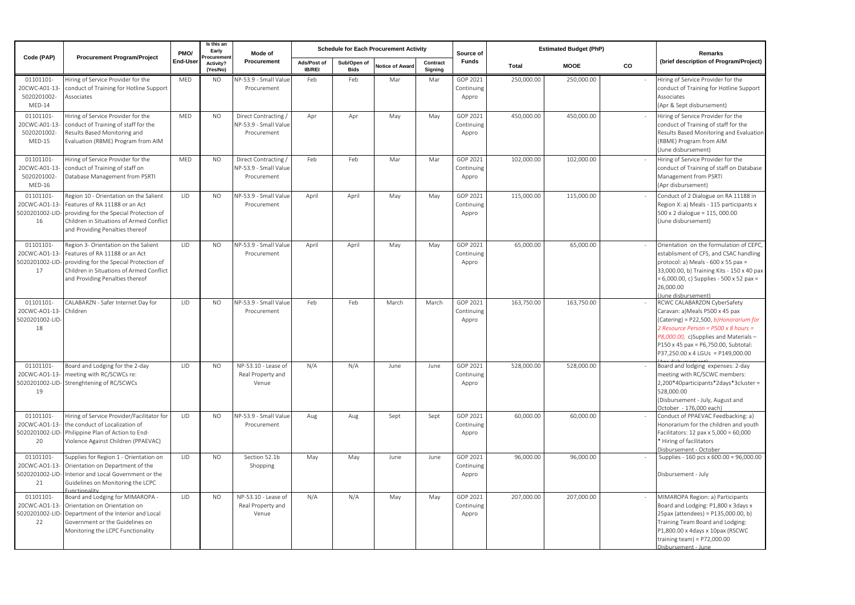| Code (PAP)                                           | <b>Procurement Program/Project</b>                                                                                                                                                                 | PMO/       | Is this an<br>Early<br>rocuremer | Mode of<br>Procurement                                     |                              |                            | <b>Schedule for Each Procurement Activity</b> |                     | Source of                       |              | <b>Estimated Budget (PhP)</b> | Remarks |                                                                                                                                                                                                                                                                             |
|------------------------------------------------------|----------------------------------------------------------------------------------------------------------------------------------------------------------------------------------------------------|------------|----------------------------------|------------------------------------------------------------|------------------------------|----------------------------|-----------------------------------------------|---------------------|---------------------------------|--------------|-------------------------------|---------|-----------------------------------------------------------------------------------------------------------------------------------------------------------------------------------------------------------------------------------------------------------------------------|
|                                                      |                                                                                                                                                                                                    | End-User   | Activity?<br>(Yes/No)            |                                                            | Ads/Post of<br><b>IB/REI</b> | Sub/Open of<br><b>Bids</b> | <b>Notice of Award</b>                        | Contract<br>Signing | Funds                           | <b>Total</b> | <b>MOOE</b>                   | CO      | (brief description of Program/Project)                                                                                                                                                                                                                                      |
| 01101101-<br>20CWC-A01-13<br>5020201002-<br>MED-14   | Hiring of Service Provider for the<br>conduct of Training for Hotline Support<br>Associates                                                                                                        | MED        | <b>NO</b>                        | NP-53.9 - Small Value<br>Procurement                       | Feb                          | Feb                        | Mar                                           | Mar                 | GOP 2021<br>Continuing<br>Appro | 250,000.00   | 250,000.00                    |         | Hiring of Service Provider for the<br>conduct of Training for Hotline Support<br>Associates<br>(Apr & Sept disbursement)                                                                                                                                                    |
| 01101101-<br>20CWC-A01-13<br>5020201002-<br>$MED-15$ | Hiring of Service Provider for the<br>conduct of Training of staff for the<br>Results Based Monitoring and<br>Evaluation (RBME) Program from AIM                                                   | MED        | NO.                              | Direct Contracting<br>NP-53.9 - Small Value<br>Procurement | Apr                          | Apr                        | May                                           | May                 | GOP 2021<br>Continuing<br>Appro | 450,000.00   | 450,000.00                    |         | Hiring of Service Provider for the<br>conduct of Training of staff for the<br>Results Based Monitoring and Evaluation<br>(RBME) Program from AIM<br>(June disbursement)                                                                                                     |
| 01101101-<br>20CWC-A01-13<br>5020201002-<br>MED-16   | liring of Service Provider for the<br>conduct of Training of staff on<br>Database Management from PSRTI                                                                                            | MED        | <b>NO</b>                        | Direct Contracting<br>NP-53.9 - Small Value<br>Procurement | Feb                          | Feb                        | Mar                                           | Mar                 | GOP 2021<br>Continuing<br>Appro | 102,000.00   | 102,000.00                    |         | Hiring of Service Provider for the<br>conduct of Training of staff on Database<br>Management from PSRTI<br>(Apr disbursement)                                                                                                                                               |
| 01101101-<br>20CWC-AO1-13<br>5020201002-LID<br>16    | Region 10 - Orientation on the Salient<br>Features of RA 11188 or an Act<br>providing for the Special Protection of<br>Children in Situations of Armed Conflict<br>and Providing Penalties thereof | LID        | <b>NO</b>                        | VP-53.9 - Small Valu<br>Procurement                        | April                        | April                      | May                                           | May                 | GOP 2021<br>Continuing<br>Appro | 115,000.00   | 115,000.00                    |         | Conduct of 2 Dialogue on RA 11188 in<br>Region X: a) Meals - 115 participants x<br>500 x 2 dialogue = 115, 000.00<br>(June disbursement)                                                                                                                                    |
| 01101101-<br>20CWC-AO1-13<br>5020201002-LID<br>17    | Region 3- Orientation on the Salient<br>Features of RA 11188 or an Act<br>providing for the Special Protection of<br>Children in Situations of Armed Conflict<br>and Providing Penalties thereof   | LID        | <b>NO</b>                        | NP-53.9 - Small Value<br>Procurement                       | April                        | April                      | May                                           | May                 | GOP 2021<br>Continuing<br>Appro | 65,000.00    | 65,000.00                     |         | Orientation on the formulation of CEPC,<br>establisment of CFS, and CSAC handling<br>protocol: a) Meals - 600 x 55 pax =<br>33,000.00, b) Training Kits - 150 x 40 pax<br>= 6,000.00, c) Supplies - 500 x 52 pax =<br>26,000.00<br>(June disbursement)                      |
| 01101101-<br>20CWC-AO1-13-<br>5020201002-LID<br>18   | CALABARZN - Safer Internet Day for<br>Children                                                                                                                                                     | <b>LID</b> | <b>NO</b>                        | NP-53.9 - Small Value<br>Procurement                       | Feb                          | Feb                        | March                                         | March               | GOP 2021<br>Continuing<br>Appro | 163,750.00   | 163,750.00                    |         | RCWC CALABARZON CyberSafety<br>Caravan: a)Meals P500 x 45 pax<br>(Catering) = P22,500, b)Honorarium for<br>2 Resource Person = $P500 \times 8$ hours =<br>P8,000.00, c)Supplies and Materials-<br>P150 x 45 pax = P6,750.00, Subtotal:<br>P37.250.00 x 4 LGUs = P149.000.00 |
| 01101101-<br>20CWC-AO1-13<br>5020201002-LID-<br>19   | Board and Lodging for the 2-day<br>neeting with RC/SCWCs re:<br>Strenghtening of RC/SCWCs                                                                                                          | LID        | <b>NO</b>                        | NP-53.10 - Lease of<br>Real Property and<br>Venue          | N/A                          | N/A                        | June                                          | June                | GOP 2021<br>Continuing<br>Appro | 528,000.00   | 528,000.00                    |         | Board and lodging expenses: 2-day<br>meeting with RC/SCWC members:<br>2,200*40participants*2days*3cluster =<br>528,000.00<br>(Disbursement - July, August and<br>October - 176,000 each)                                                                                    |
| 01101101-<br>20CWC-AO1-13<br>5020201002-LID<br>20    | Hiring of Service Provider/Facilitator for<br>the conduct of Localization of<br>Philippine Plan of Action to End-<br>Violence Against Children (PPAEVAC)                                           | LID        | <b>NO</b>                        | VP-53.9 - Small Value<br>Procurement                       | Aug                          | Aug                        | Sept                                          | Sept                | GOP 2021<br>Continuing<br>Appro | 60,000.00    | 60,000.00                     |         | Conduct of PPAEVAC Feedbacking: a)<br>Honorarium for the children and youth<br>Facilitators: 12 pax x 5,000 = 60,000<br>Hiring of facilitators<br>Disbursement - October                                                                                                    |
| 01101101-<br>20CWC-AO1-13<br>5020201002-LID<br>21    | Supplies for Region 1 - Orientation on<br>Orientation on Department of the<br>Interior and Local Government or the<br>Guidelines on Monitoring the LCPC                                            | LID        | <b>NO</b>                        | Section 52.1b<br>Shopping                                  | May                          | May                        | June                                          | June                | GOP 2021<br>Continuing<br>Appro | 96,000.00    | 96,000.00                     |         | Supplies - 160 pcs x 600.00 = 96,000.00<br>Disbursement - July                                                                                                                                                                                                              |
| 01101101-<br>20CWC-AO1-13<br>5020201002-LID<br>22    | Board and Lodging for MIMAROPA -<br>Orientation on Orientation on<br>Department of the Interior and Local<br>Government or the Guidelines on<br>Monitoring the LCPC Functionality                  | LID        | NO.                              | NP-53.10 - Lease of<br>Real Property and<br>Venue          | N/A                          | N/A                        | May                                           | May                 | GOP 2021<br>Continuing<br>Appro | 207,000.00   | 207,000.00                    |         | MIMAROPA Region: a) Participants<br>Board and Lodging: P1,800 x 3days x<br>25pax (attendees) = P135,000.00, b)<br>Training Team Board and Lodging:<br>P1,800.00 x 4days x 10pax (RSCWC<br>training team) = $P72,000.00$<br>Disbursement - June                              |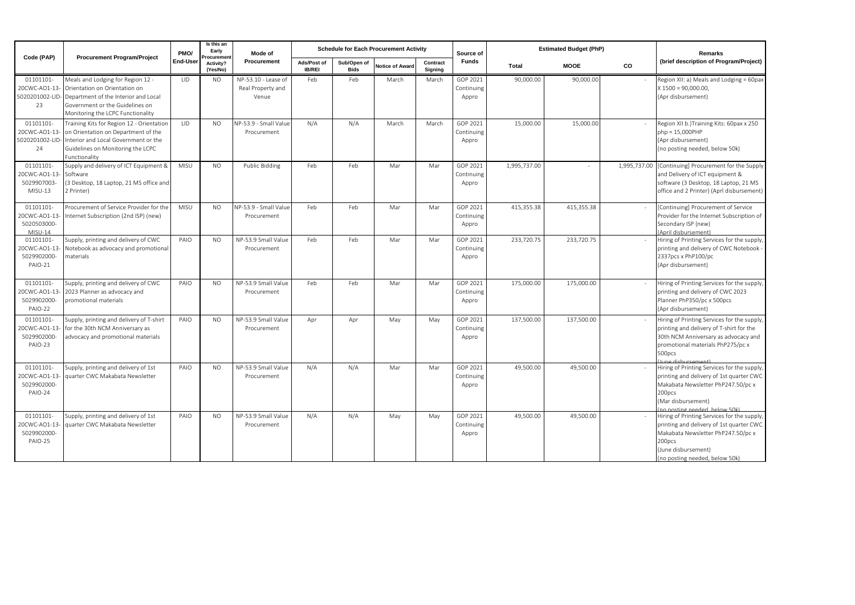| Code (PAP)                                          | <b>Procurement Program/Project</b>                                                                                                                                                 | PMO/       | Is this an<br>Early<br>Mode of<br>rocuremen<br>Procurement<br>Activity?<br>(Yes/No) |                                                   |                       | <b>Schedule for Each Procurement Activity</b> |                        | Source of           |                                 | <b>Estimated Budget (PhP)</b> | Remarks     |              |                                                                                                                                                                                                      |
|-----------------------------------------------------|------------------------------------------------------------------------------------------------------------------------------------------------------------------------------------|------------|-------------------------------------------------------------------------------------|---------------------------------------------------|-----------------------|-----------------------------------------------|------------------------|---------------------|---------------------------------|-------------------------------|-------------|--------------|------------------------------------------------------------------------------------------------------------------------------------------------------------------------------------------------------|
|                                                     |                                                                                                                                                                                    | End-User   |                                                                                     |                                                   | Ads/Post of<br>IB/REI | Sub/Open of<br><b>Bids</b>                    | <b>Notice of Award</b> | Contract<br>Signing | <b>Funds</b>                    | Total                         | <b>MOOE</b> | <b>CO</b>    | (brief description of Program/Project)                                                                                                                                                               |
| 01101101-<br>20CWC-AO1-13<br>5020201002-LID-<br>23  | Meals and Lodging for Region 12 -<br>Orientation on Orientation on<br>Department of the Interior and Local<br>Government or the Guidelines on<br>Monitoring the LCPC Functionality | <b>LID</b> | N <sub>O</sub>                                                                      | NP-53.10 - Lease of<br>Real Property and<br>Venue | Feb                   | Feb                                           | March                  | March               | GOP 2021<br>Continuing<br>Appro | 90,000.00                     | 90,000.00   |              | Region XII: a) Meals and Lodging = 60pax<br>$X$ 1500 = 90,000.00,<br>(Apr disbursement)                                                                                                              |
| 01101101-<br>20CWC-AO1-13<br>5020201002-LID-<br>24  | Training Kits for Region 12 - Orientation<br>on Orientation on Department of the<br>Interior and Local Government or the<br>Guidelines on Monitoring the LCPC<br>Functionality     | 11D        | <b>NO</b>                                                                           | NP-53.9 - Small Value<br>Procurement              | N/A                   | N/A                                           | March                  | March               | GOP 2021<br>Continuing<br>Appro | 15,000,00                     | 15,000.00   |              | Region XII b.) Training Kits: 60pax x 250<br>$php = 15.000$ PHP<br>(Apr disbursement)<br>(no posting needed, below 50k)                                                                              |
| 01101101-<br>20CWC-AO1-13<br>5029907003<br>MISU-13  | Supply and delivery of ICT Equipment &<br>Software<br>3 Desktop, 18 Laptop, 21 MS office and<br>2 Printer)                                                                         | MISU       | <b>NO</b>                                                                           | Public Bidding                                    | Feb                   | Feb                                           | Mar                    | Mar                 | GOP 2021<br>Continuing<br>Appro | 1,995,737.00                  |             | 1.995.737.00 | [Continuing] Procurement for the Supply<br>and Delivery of ICT equipment &<br>software (3 Desktop, 18 Laptop, 21 MS<br>office and 2 Printer) (Aprl disbursement)                                     |
| 01101101-<br>20CWC-AO1-13<br>5020503000-<br>MISU-14 | Procurement of Service Provider for the<br>nternet Subscription (2nd ISP) (new)                                                                                                    | MISU       | <b>NO</b>                                                                           | NP-53.9 - Small Value<br>Procurement              | Feb                   | Feb                                           | Mar                    | Mar                 | GOP 2021<br>Continuing<br>Appro | 415.355.38                    | 415,355.38  |              | [Continuing] Procurement of Service<br>Provider for the Internet Subscription of<br>Secondary ISP (new)<br>(April disbursement)                                                                      |
| 01101101-<br>20CWC-AO1-13<br>5029902000-<br>PAIO-21 | Supply, printing and delivery of CWC<br>Notebook as advocacy and promotional<br>materials                                                                                          | PAIO       | <b>NO</b>                                                                           | NP-53.9 Small Value<br>Procurement                | Feb                   | Feb                                           | Mar                    | Mar                 | GOP 2021<br>Continuing<br>Appro | 233,720.75                    | 233,720.75  |              | Hiring of Printing Services for the supply,<br>printing and delivery of CWC Notebook<br>2337pcs x PhP100/pc<br>(Apr disbursement)                                                                    |
| 01101101-<br>20CWC-AO1-13<br>5029902000-<br>PAIO-22 | Supply, printing and delivery of CWC<br>2023 Planner as advocacy and<br>promotional materials                                                                                      | PAIO       | <b>NO</b>                                                                           | NP-53.9 Small Value<br>Procurement                | Feb                   | Feb                                           | Mar                    | Mar                 | GOP 2021<br>Continuing<br>Appro | 175,000.00                    | 175,000.00  |              | Hiring of Printing Services for the supply,<br>printing and delivery of CWC 2023<br>Planner PhP350/pc x 500pcs<br>(Apr disbursement)                                                                 |
| 01101101-<br>20CWC-AO1-13<br>5029902000<br>PAIO-23  | Supply, printing and delivery of T-shirt<br>or the 30th NCM Anniversary as<br>advocacy and promotional materials                                                                   | PAIO       | N <sub>O</sub>                                                                      | NP-53.9 Small Value<br>Procurement                | Apr                   | Apr                                           | May                    | May                 | GOP 2021<br>Continuing<br>Appro | 137,500.00                    | 137,500.00  |              | Hiring of Printing Services for the supply,<br>printing and delivery of T-shirt for the<br>30th NCM Anniversary as advocacy and<br>promotional materials PhP275/pc x<br>500pcs<br>lung dishursement) |
| 01101101-<br>20CWC-AO1-13<br>5029902000-<br>PAIO-24 | Supply, printing and delivery of 1st<br>auarter CWC Makabata Newsletter                                                                                                            | PAIO       | <b>NO</b>                                                                           | NP-53.9 Small Value<br>Procurement                | N/A                   | N/A                                           | Mar                    | Mar                 | GOP 2021<br>Continuing<br>Appro | 49,500.00                     | 49,500.00   |              | Hiring of Printing Services for the supply,<br>printing and delivery of 1st quarter CWC<br>Makabata Newsletter PhP247.50/pc x<br>200pcs<br>(Mar disbursement)<br>(no posting needed below 50k)       |
| 01101101-<br>20CWC-AO1-13<br>5029902000-<br>PAIO-25 | Supply, printing and delivery of 1st<br>auarter CWC Makabata Newsletter                                                                                                            | PAIO       | <b>NO</b>                                                                           | NP-53.9 Small Value<br>Procurement                | N/A                   | N/A                                           | May                    | May                 | GOP 2021<br>Continuing<br>Appro | 49,500.00                     | 49,500.00   |              | Hiring of Printing Services for the supply,<br>printing and delivery of 1st quarter CWC<br>Makabata Newsletter PhP247.50/pc x<br>200pcs<br>(June disbursement)<br>(no posting needed, below 50k)     |